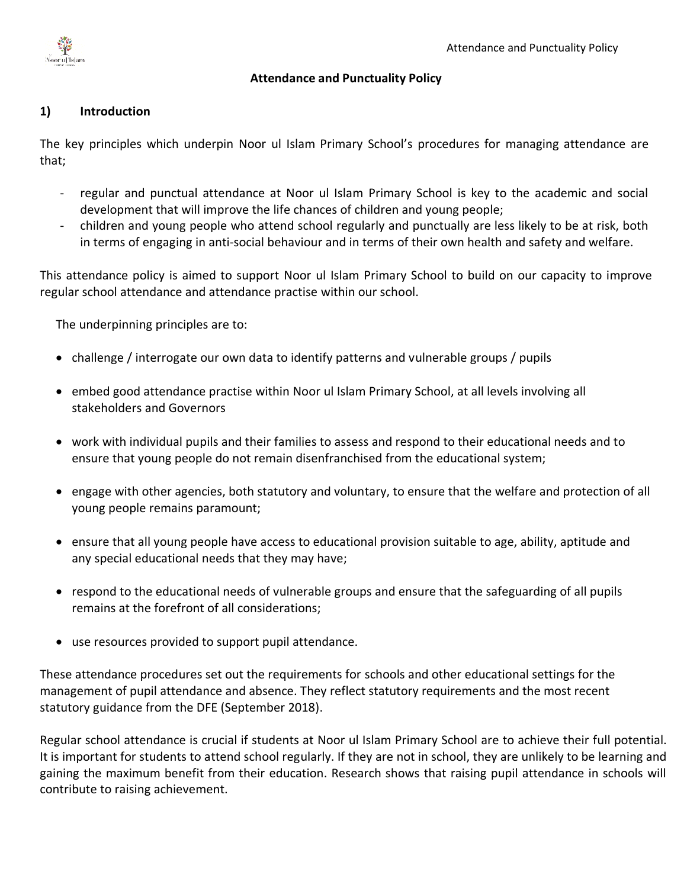

## **Attendance and Punctuality Policy**

# **1) Introduction**

The key principles which underpin Noor ul Islam Primary School's procedures for managing attendance are that;

- regular and punctual attendance at Noor ul Islam Primary School is key to the academic and social development that will improve the life chances of children and young people;
- children and young people who attend school regularly and punctually are less likely to be at risk, both in terms of engaging in anti-social behaviour and in terms of their own health and safety and welfare.

This attendance policy is aimed to support Noor ul Islam Primary School to build on our capacity to improve regular school attendance and attendance practise within our school.

The underpinning principles are to:

- challenge / interrogate our own data to identify patterns and vulnerable groups / pupils
- embed good attendance practise within Noor ul Islam Primary School, at all levels involving all stakeholders and Governors
- work with individual pupils and their families to assess and respond to their educational needs and to ensure that young people do not remain disenfranchised from the educational system;
- engage with other agencies, both statutory and voluntary, to ensure that the welfare and protection of all young people remains paramount;
- ensure that all young people have access to educational provision suitable to age, ability, aptitude and any special educational needs that they may have;
- respond to the educational needs of vulnerable groups and ensure that the safeguarding of all pupils remains at the forefront of all considerations;
- use resources provided to support pupil attendance.

These attendance procedures set out the requirements for schools and other educational settings for the management of pupil attendance and absence. They reflect statutory requirements and the most recent statutory guidance from the DFE (September 2018).

Regular school attendance is crucial if students at Noor ul Islam Primary School are to achieve their full potential. It is important for students to attend school regularly. If they are not in school, they are unlikely to be learning and gaining the maximum benefit from their education. Research shows that raising pupil attendance in schools will contribute to raising achievement.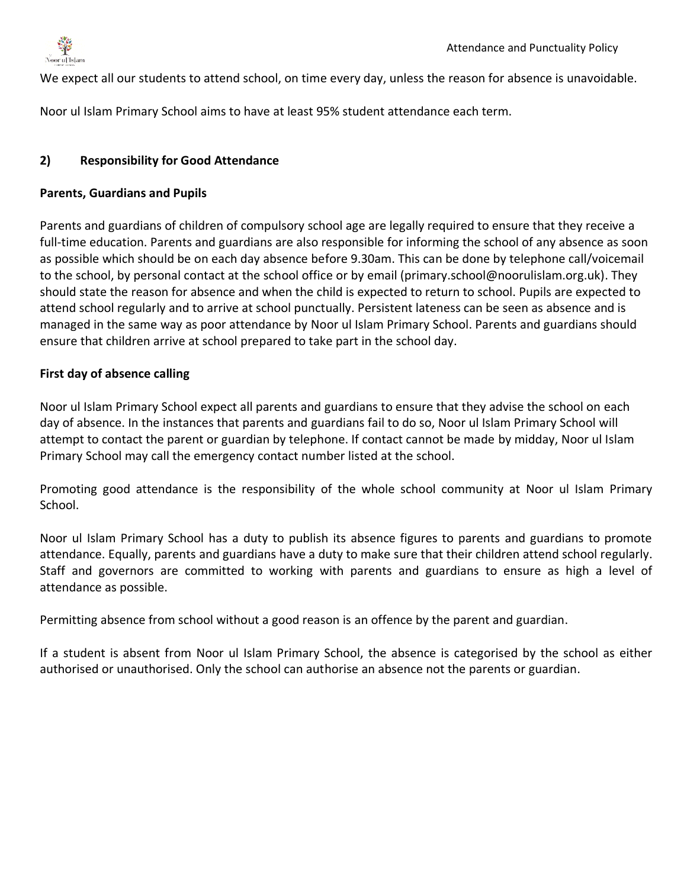

We expect all our students to attend school, on time every day, unless the reason for absence is unavoidable.

Noor ul Islam Primary School aims to have at least 95% student attendance each term.

## **2) Responsibility for Good Attendance**

#### **Parents, Guardians and Pupils**

Parents and guardians of children of compulsory school age are legally required to ensure that they receive a full-time education. Parents and guardians are also responsible for informing the school of any absence as soon as possible which should be on each day absence before 9.30am. This can be done by telephone call/voicemail to the school, by personal contact at the school office or by email (primary.school@noorulislam.org.uk). They should state the reason for absence and when the child is expected to return to school. Pupils are expected to attend school regularly and to arrive at school punctually. Persistent lateness can be seen as absence and is managed in the same way as poor attendance by Noor ul Islam Primary School. Parents and guardians should ensure that children arrive at school prepared to take part in the school day.

## **First day of absence calling**

Noor ul Islam Primary School expect all parents and guardians to ensure that they advise the school on each day of absence. In the instances that parents and guardians fail to do so, Noor ul Islam Primary School will attempt to contact the parent or guardian by telephone. If contact cannot be made by midday, Noor ul Islam Primary School may call the emergency contact number listed at the school.

Promoting good attendance is the responsibility of the whole school community at Noor ul Islam Primary School.

Noor ul Islam Primary School has a duty to publish its absence figures to parents and guardians to promote attendance. Equally, parents and guardians have a duty to make sure that their children attend school regularly. Staff and governors are committed to working with parents and guardians to ensure as high a level of attendance as possible.

Permitting absence from school without a good reason is an offence by the parent and guardian.

If a student is absent from Noor ul Islam Primary School, the absence is categorised by the school as either authorised or unauthorised. Only the school can authorise an absence not the parents or guardian.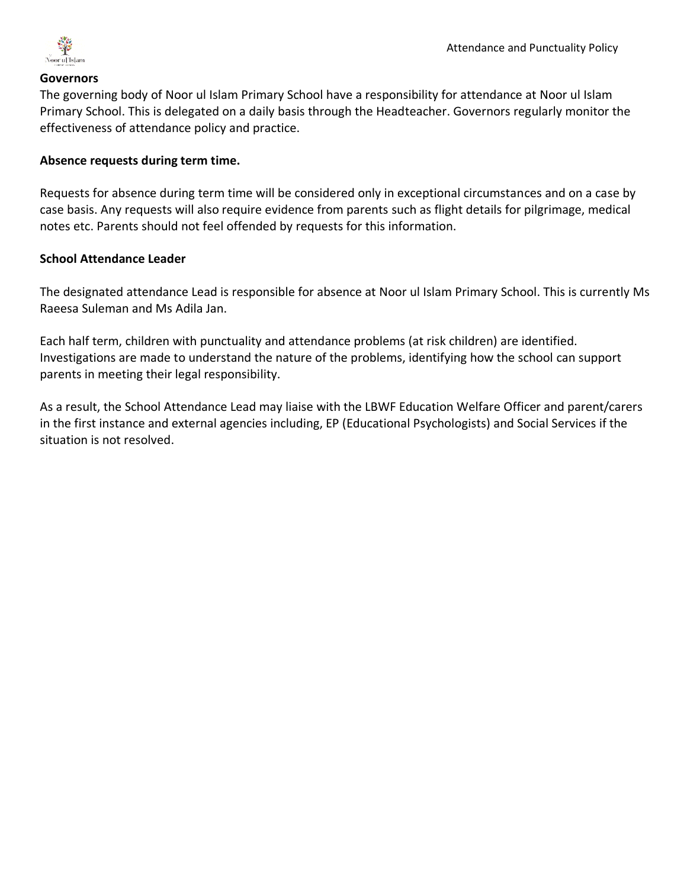

#### **Governors**

The governing body of Noor ul Islam Primary School have a responsibility for attendance at Noor ul Islam Primary School. This is delegated on a daily basis through the Headteacher. Governors regularly monitor the effectiveness of attendance policy and practice.

#### **Absence requests during term time.**

Requests for absence during term time will be considered only in exceptional circumstances and on a case by case basis. Any requests will also require evidence from parents such as flight details for pilgrimage, medical notes etc. Parents should not feel offended by requests for this information.

#### **School Attendance Leader**

The designated attendance Lead is responsible for absence at Noor ul Islam Primary School. This is currently Ms Raeesa Suleman and Ms Adila Jan.

Each half term, children with punctuality and attendance problems (at risk children) are identified. Investigations are made to understand the nature of the problems, identifying how the school can support parents in meeting their legal responsibility.

As a result, the School Attendance Lead may liaise with the LBWF Education Welfare Officer and parent/carers in the first instance and external agencies including, EP (Educational Psychologists) and Social Services if the situation is not resolved.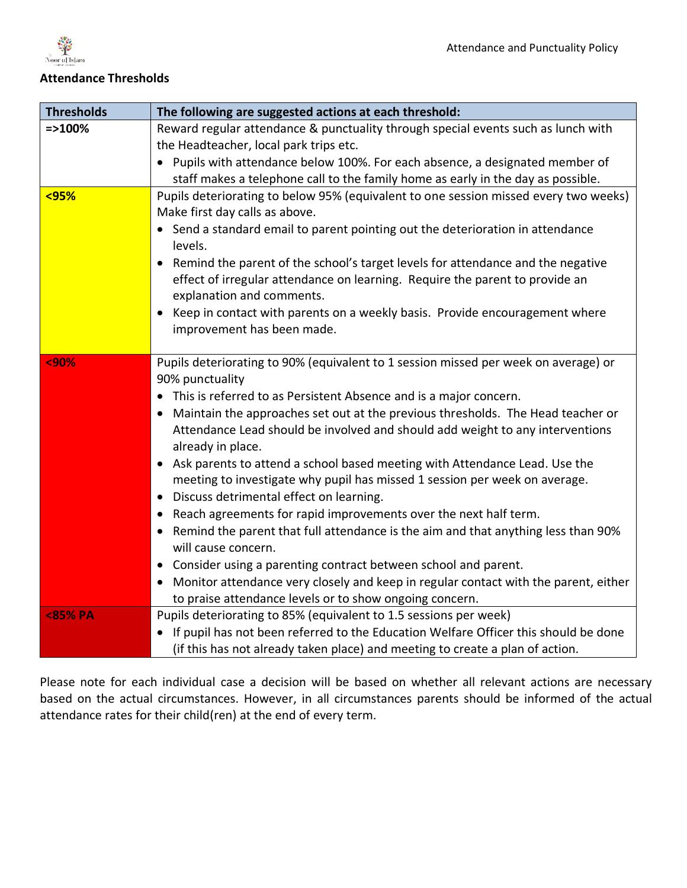

# **Attendance Thresholds**

| <b>Thresholds</b> | The following are suggested actions at each threshold:                                                                 |
|-------------------|------------------------------------------------------------------------------------------------------------------------|
| $=$ > 100%        | Reward regular attendance & punctuality through special events such as lunch with                                      |
|                   | the Headteacher, local park trips etc.                                                                                 |
|                   | • Pupils with attendance below 100%. For each absence, a designated member of                                          |
|                   | staff makes a telephone call to the family home as early in the day as possible.                                       |
| $95%$             | Pupils deteriorating to below 95% (equivalent to one session missed every two weeks)<br>Make first day calls as above. |
|                   | • Send a standard email to parent pointing out the deterioration in attendance<br>levels.                              |
|                   | Remind the parent of the school's target levels for attendance and the negative                                        |
|                   | effect of irregular attendance on learning. Require the parent to provide an<br>explanation and comments.              |
|                   | Keep in contact with parents on a weekly basis. Provide encouragement where<br>improvement has been made.              |
|                   |                                                                                                                        |
| <90%              | Pupils deteriorating to 90% (equivalent to 1 session missed per week on average) or<br>90% punctuality                 |
|                   | • This is referred to as Persistent Absence and is a major concern.                                                    |
|                   | Maintain the approaches set out at the previous thresholds. The Head teacher or<br>$\bullet$                           |
|                   | Attendance Lead should be involved and should add weight to any interventions<br>already in place.                     |
|                   | Ask parents to attend a school based meeting with Attendance Lead. Use the<br>$\bullet$                                |
|                   | meeting to investigate why pupil has missed 1 session per week on average.                                             |
|                   | Discuss detrimental effect on learning.<br>$\bullet$                                                                   |
|                   | Reach agreements for rapid improvements over the next half term.                                                       |
|                   | Remind the parent that full attendance is the aim and that anything less than 90%<br>$\bullet$<br>will cause concern.  |
|                   | Consider using a parenting contract between school and parent.<br>$\bullet$                                            |
|                   | Monitor attendance very closely and keep in regular contact with the parent, either<br>$\bullet$                       |
|                   | to praise attendance levels or to show ongoing concern.                                                                |
| <85% PA           | Pupils deteriorating to 85% (equivalent to 1.5 sessions per week)                                                      |
|                   | If pupil has not been referred to the Education Welfare Officer this should be done                                    |
|                   | (if this has not already taken place) and meeting to create a plan of action.                                          |

Please note for each individual case a decision will be based on whether all relevant actions are necessary based on the actual circumstances. However, in all circumstances parents should be informed of the actual attendance rates for their child(ren) at the end of every term.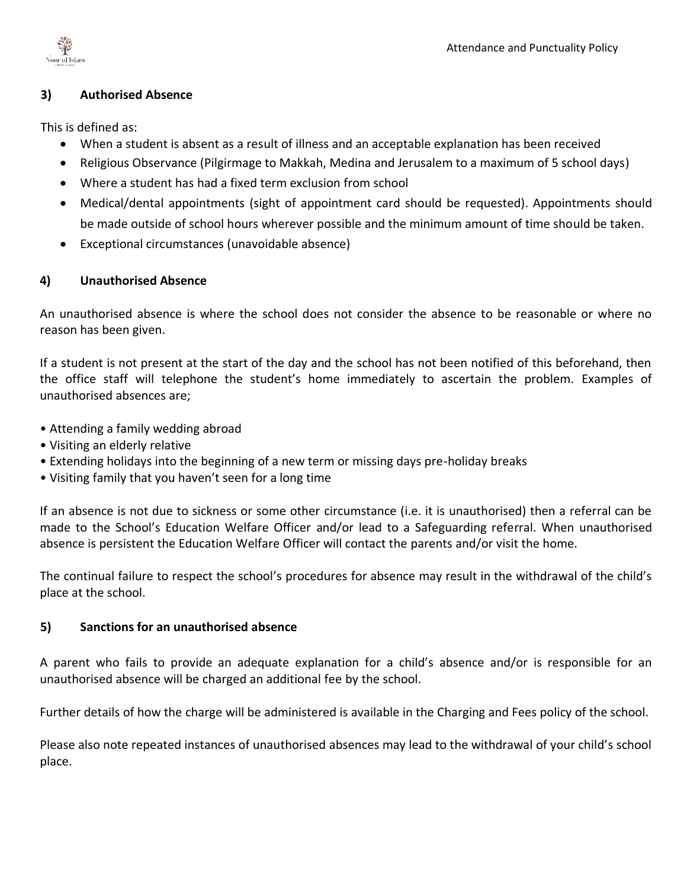

## **3) Authorised Absence**

This is defined as:

- When a student is absent as a result of illness and an acceptable explanation has been received
- Religious Observance (Pilgirmage to Makkah, Medina and Jerusalem to a maximum of 5 school days)
- Where a student has had a fixed term exclusion from school
- Medical/dental appointments (sight of appointment card should be requested). Appointments should be made outside of school hours wherever possible and the minimum amount of time should be taken.
- Exceptional circumstances (unavoidable absence)

## **4) Unauthorised Absence**

An unauthorised absence is where the school does not consider the absence to be reasonable or where no reason has been given.

If a student is not present at the start of the day and the school has not been notified of this beforehand, then the office staff will telephone the student's home immediately to ascertain the problem. Examples of unauthorised absences are;

- Attending a family wedding abroad
- Visiting an elderly relative
- Extending holidays into the beginning of a new term or missing days pre-holiday breaks
- Visiting family that you haven't seen for a long time

If an absence is not due to sickness or some other circumstance (i.e. it is unauthorised) then a referral can be made to the School's Education Welfare Officer and/or lead to a Safeguarding referral. When unauthorised absence is persistent the Education Welfare Officer will contact the parents and/or visit the home.

The continual failure to respect the school's procedures for absence may result in the withdrawal of the child's place at the school.

## **5) Sanctions for an unauthorised absence**

A parent who fails to provide an adequate explanation for a child's absence and/or is responsible for an unauthorised absence will be charged an additional fee by the school.

Further details of how the charge will be administered is available in the Charging and Fees policy of the school.

Please also note repeated instances of unauthorised absences may lead to the withdrawal of your child's school place.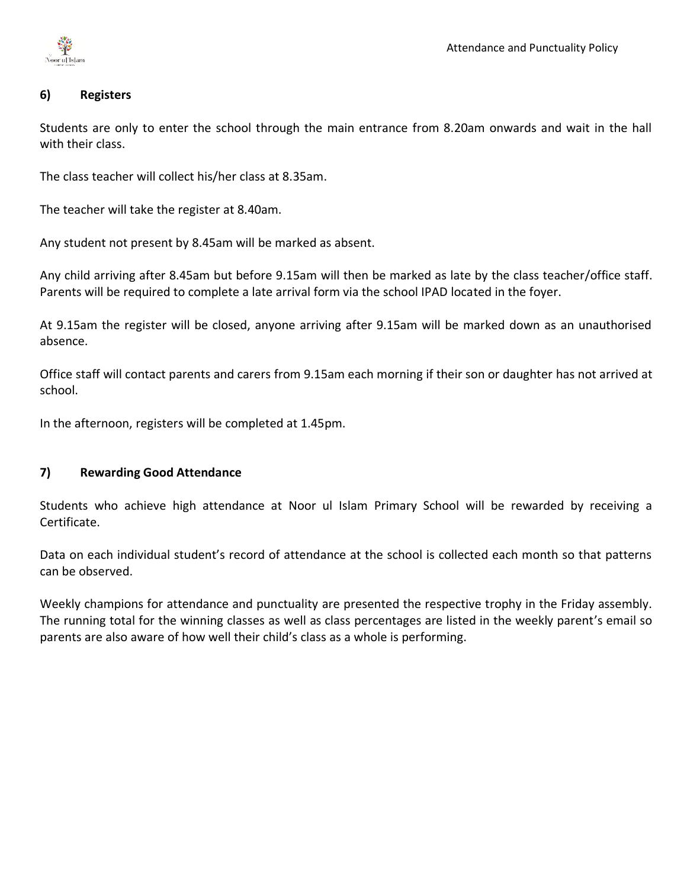

## **6) Registers**

Students are only to enter the school through the main entrance from 8.20am onwards and wait in the hall with their class.

The class teacher will collect his/her class at 8.35am.

The teacher will take the register at 8.40am.

Any student not present by 8.45am will be marked as absent.

Any child arriving after 8.45am but before 9.15am will then be marked as late by the class teacher/office staff. Parents will be required to complete a late arrival form via the school IPAD located in the foyer.

At 9.15am the register will be closed, anyone arriving after 9.15am will be marked down as an unauthorised absence.

Office staff will contact parents and carers from 9.15am each morning if their son or daughter has not arrived at school.

In the afternoon, registers will be completed at 1.45pm.

## **7) Rewarding Good Attendance**

Students who achieve high attendance at Noor ul Islam Primary School will be rewarded by receiving a Certificate.

Data on each individual student's record of attendance at the school is collected each month so that patterns can be observed.

Weekly champions for attendance and punctuality are presented the respective trophy in the Friday assembly. The running total for the winning classes as well as class percentages are listed in the weekly parent's email so parents are also aware of how well their child's class as a whole is performing.